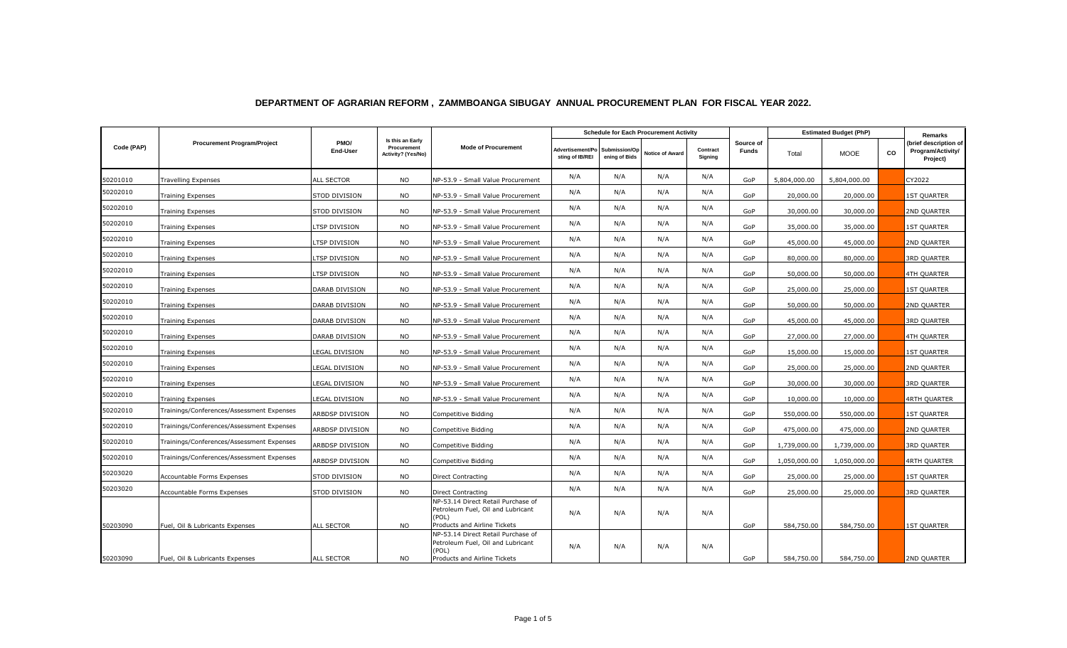|            | <b>Procurement Program/Project</b>        | PMO/<br>End-User      | Is this an Early<br>Procurement<br>Activity? (Yes/No) | <b>Mode of Procurement</b>                                                                                       | <b>Schedule for Each Procurement Activity</b> |                                |                        |                     |                           | <b>Estimated Budget (PhP)</b> |              |           | Remarks                                                |
|------------|-------------------------------------------|-----------------------|-------------------------------------------------------|------------------------------------------------------------------------------------------------------------------|-----------------------------------------------|--------------------------------|------------------------|---------------------|---------------------------|-------------------------------|--------------|-----------|--------------------------------------------------------|
| Code (PAP) |                                           |                       |                                                       |                                                                                                                  | Advertisement/Po<br>sting of IB/REI           | Submission/Op<br>ening of Bids | <b>Notice of Award</b> | Contract<br>Signing | Source of<br><b>Funds</b> | Total                         | <b>MOOE</b>  | <b>CO</b> | (brief description of<br>Program/Activity/<br>Project) |
| 50201010   | <b>Travelling Expenses</b>                | <b>ALL SECTOR</b>     | <b>NO</b>                                             | NP-53.9 - Small Value Procurement                                                                                | N/A                                           | N/A                            | N/A                    | N/A                 | GoP                       | 5,804,000.00                  | 5,804,000.00 |           | CY2022                                                 |
| 50202010   | Training Expenses                         | STOD DIVISION         | <b>NO</b>                                             | NP-53.9 - Small Value Procurement                                                                                | N/A                                           | N/A                            | N/A                    | N/A                 | GoP                       | 20,000.00                     | 20,000.00    |           | <b>1ST QUARTER</b>                                     |
| 50202010   | <b>Training Expenses</b>                  | STOD DIVISION         | <b>NO</b>                                             | NP-53.9 - Small Value Procurement                                                                                | N/A                                           | N/A                            | N/A                    | N/A                 | GoP                       | 30,000.00                     | 30,000.00    |           | 2ND QUARTER                                            |
| 50202010   | <b>Training Expenses</b>                  | TSP DIVISION          | <b>NO</b>                                             | NP-53.9 - Small Value Procurement                                                                                | N/A                                           | N/A                            | N/A                    | N/A                 | GoP                       | 35,000.00                     | 35,000.00    |           | <b>1ST QUARTER</b>                                     |
| 50202010   | <b>Training Expenses</b>                  | TSP DIVISION          | <b>NO</b>                                             | NP-53.9 - Small Value Procurement                                                                                | N/A                                           | N/A                            | N/A                    | N/A                 | GoP                       | 45,000.00                     | 45,000.00    |           | 2ND QUARTER                                            |
| 50202010   | <b>Training Expenses</b>                  | LTSP DIVISION         | <b>NO</b>                                             | NP-53.9 - Small Value Procurement                                                                                | N/A                                           | N/A                            | N/A                    | N/A                 | GoP                       | 80,000.00                     | 80,000.00    |           | <b>3RD QUARTER</b>                                     |
| 50202010   | <b>Training Expenses</b>                  | TSP DIVISION          | <b>NO</b>                                             | NP-53.9 - Small Value Procurement                                                                                | N/A                                           | N/A                            | N/A                    | N/A                 | GoP                       | 50,000.00                     | 50,000.00    |           | 4TH QUARTER                                            |
| 50202010   | <b>Training Expenses</b>                  | DARAB DIVISION        | <b>NO</b>                                             | NP-53.9 - Small Value Procurement                                                                                | N/A                                           | N/A                            | N/A                    | N/A                 | GoP                       | 25,000.00                     | 25,000.00    |           | <b>1ST QUARTER</b>                                     |
| 50202010   | <b>Training Expenses</b>                  | DARAB DIVISION        | <b>NO</b>                                             | NP-53.9 - Small Value Procurement                                                                                | N/A                                           | N/A                            | N/A                    | N/A                 | GoP                       | 50,000.00                     | 50,000.00    |           | 2ND QUARTER                                            |
| 50202010   | <b>Training Expenses</b>                  | DARAB DIVISION        | <b>NO</b>                                             | NP-53.9 - Small Value Procurement                                                                                | N/A                                           | N/A                            | N/A                    | N/A                 | GoP                       | 45,000.00                     | 45,000.00    |           | <b>3RD QUARTER</b>                                     |
| 50202010   | Training Expenses                         | DARAB DIVISION        | <b>NO</b>                                             | NP-53.9 - Small Value Procurement                                                                                | N/A                                           | N/A                            | N/A                    | N/A                 | GoP                       | 27,000.00                     | 27,000.00    |           | 4TH QUARTER                                            |
| 50202010   | <b>Training Expenses</b>                  | LEGAL DIVISION        | <b>NO</b>                                             | NP-53.9 - Small Value Procurement                                                                                | N/A                                           | N/A                            | N/A                    | N/A                 | GoP                       | 15,000.00                     | 15,000.00    |           | <b>IST QUARTER</b>                                     |
| 50202010   | <b>Training Expenses</b>                  | <b>LEGAL DIVISION</b> | <b>NO</b>                                             | NP-53.9 - Small Value Procurement                                                                                | N/A                                           | N/A                            | N/A                    | N/A                 | GoP                       | 25,000.00                     | 25,000.00    |           | 2ND QUARTER                                            |
| 50202010   | Training Expenses                         | <b>LEGAL DIVISION</b> | <b>NO</b>                                             | NP-53.9 - Small Value Procurement                                                                                | N/A                                           | N/A                            | N/A                    | N/A                 | GoP                       | 30,000.00                     | 30,000.00    |           | 3RD QUARTER                                            |
| 50202010   | <b>Training Expenses</b>                  | LEGAL DIVISION        | <b>NO</b>                                             | NP-53.9 - Small Value Procurement                                                                                | N/A                                           | N/A                            | N/A                    | N/A                 | GoP                       | 10,000.00                     | 10,000.00    |           | <b>4RTH QUARTER</b>                                    |
| 50202010   | Trainings/Conferences/Assessment Expenses | ARBDSP DIVISION       | <b>NO</b>                                             | Competitive Bidding                                                                                              | N/A                                           | N/A                            | N/A                    | N/A                 | GoP                       | 550,000.00                    | 550,000.00   |           | <b>1ST QUARTER</b>                                     |
| 50202010   | Trainings/Conferences/Assessment Expenses | ARBDSP DIVISION       | <b>NO</b>                                             | Competitive Bidding                                                                                              | N/A                                           | N/A                            | N/A                    | N/A                 | GoP                       | 475,000.00                    | 475,000.00   |           | 2ND QUARTER                                            |
| 50202010   | Trainings/Conferences/Assessment Expenses | ARBDSP DIVISION       | <b>NO</b>                                             | Competitive Bidding                                                                                              | N/A                                           | N/A                            | N/A                    | N/A                 | GoP                       | 1,739,000.00                  | 1,739,000.00 |           | <b>3RD QUARTER</b>                                     |
| 50202010   | Trainings/Conferences/Assessment Expenses | ARBDSP DIVISION       | <b>NO</b>                                             | Competitive Bidding                                                                                              | N/A                                           | N/A                            | N/A                    | N/A                 | GoP                       | 1,050,000.00                  | 1,050,000.00 |           | 4RTH QUARTER                                           |
| 50203020   | Accountable Forms Expenses                | <b>STOD DIVISION</b>  | <b>NO</b>                                             | Direct Contracting                                                                                               | N/A                                           | N/A                            | N/A                    | N/A                 | GoP                       | 25,000.00                     | 25,000.00    |           | <b>IST QUARTER</b>                                     |
| 50203020   | <b>Accountable Forms Expenses</b>         | STOD DIVISION         | <b>NO</b>                                             | <b>Direct Contracting</b>                                                                                        | N/A                                           | N/A                            | N/A                    | N/A                 | GoP                       | 25,000.00                     | 25,000.00    |           | <b>3RD QUARTER</b>                                     |
| 50203090   | Fuel, Oil & Lubricants Expenses           | <b>ALL SECTOR</b>     | <b>NO</b>                                             | NP-53.14 Direct Retail Purchase of<br>Petroleum Fuel, Oil and Lubricant<br>(POL)<br>Products and Airline Tickets | N/A                                           | N/A                            | N/A                    | N/A                 | GoP                       | 584,750.00                    | 584,750.00   |           | <b>IST QUARTER</b>                                     |
| 50203090   | Fuel, Oil & Lubricants Expenses           | ALL SECTOR            | <b>NO</b>                                             | NP-53.14 Direct Retail Purchase of<br>Petroleum Fuel, Oil and Lubricant<br>(POL)<br>Products and Airline Tickets | N/A                                           | N/A                            | N/A                    | N/A                 | GoP                       | 584,750.00                    | 584,750.00   |           | 2ND QUARTER                                            |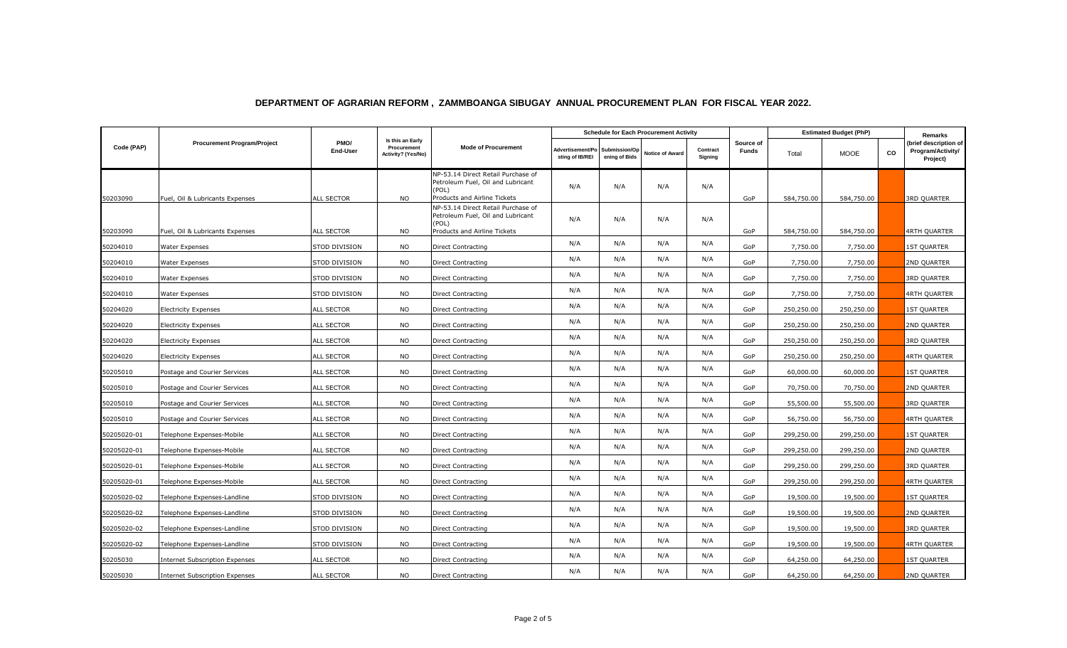|             | <b>Procurement Program/Project</b>    | PMO/<br><b>End-User</b> | Is this an Early<br>Procurement<br>Activity? (Yes/No) | <b>Mode of Procurement</b>                                                                                       | <b>Schedule for Each Procurement Activity</b> |                                |                        |                     |                    | <b>Estimated Budget (PhP)</b> |             |    | Remarks                                                |
|-------------|---------------------------------------|-------------------------|-------------------------------------------------------|------------------------------------------------------------------------------------------------------------------|-----------------------------------------------|--------------------------------|------------------------|---------------------|--------------------|-------------------------------|-------------|----|--------------------------------------------------------|
| Code (PAP)  |                                       |                         |                                                       |                                                                                                                  | <b>Advertisement/Po</b><br>sting of IB/REI    | Submission/Op<br>ening of Bids | <b>Notice of Award</b> | Contract<br>Signing | Source of<br>Funds | Total                         | <b>MOOE</b> | CO | (brief description of<br>Program/Activity/<br>Project) |
|             |                                       |                         |                                                       | NP-53.14 Direct Retail Purchase of<br>Petroleum Fuel, Oil and Lubricant<br>(POL)                                 | N/A                                           | N/A                            | N/A                    | N/A                 |                    |                               |             |    |                                                        |
| 50203090    | Fuel, Oil & Lubricants Expenses       | ALL SECTOR              | <b>NO</b>                                             | Products and Airline Tickets<br>NP-53.14 Direct Retail Purchase of<br>Petroleum Fuel, Oil and Lubricant<br>(POL) | N/A                                           | N/A                            | N/A                    | N/A                 | GoP                | 584,750.00                    | 584,750.00  |    | 3RD QUARTER                                            |
| 50203090    | Fuel, Oil & Lubricants Expenses       | ALL SECTOR              | <b>NO</b>                                             | Products and Airline Tickets                                                                                     |                                               |                                |                        |                     | GoP                | 584,750.00                    | 584,750.00  |    | 4RTH QUARTER                                           |
| 50204010    | Water Expenses                        | STOD DIVISION           | <b>NO</b>                                             | Direct Contracting                                                                                               | N/A                                           | N/A                            | N/A                    | N/A                 | GoP                | 7,750.00                      | 7,750.00    |    | <b>1ST QUARTER</b>                                     |
| 50204010    | Water Expenses                        | STOD DIVISION           | <b>NO</b>                                             | Direct Contracting                                                                                               | N/A                                           | N/A                            | N/A                    | N/A                 | GoP                | 7,750.00                      | 7,750.00    |    | 2ND QUARTER                                            |
| 50204010    | Water Expenses                        | STOD DIVISION           | <b>NO</b>                                             | Direct Contracting                                                                                               | N/A                                           | N/A                            | N/A                    | N/A                 | GoP                | 7,750.00                      | 7,750.00    |    | 3RD QUARTER                                            |
| 50204010    | Water Expenses                        | STOD DIVISION           | <b>NO</b>                                             | Direct Contracting                                                                                               | N/A                                           | N/A                            | N/A                    | N/A                 | GoP                | 7,750.00                      | 7,750.00    |    | <b>4RTH QUARTER</b>                                    |
| 50204020    | <b>Electricity Expenses</b>           | <b>ALL SECTOR</b>       | <b>NO</b>                                             | Direct Contracting                                                                                               | N/A                                           | N/A                            | N/A                    | N/A                 | GoP                | 250,250.00                    | 250,250.00  |    | <b>1ST QUARTER</b>                                     |
| 50204020    | Electricity Expenses                  | ALL SECTOR              | <b>NO</b>                                             | Direct Contracting                                                                                               | N/A                                           | N/A                            | N/A                    | N/A                 | GoP                | 250,250.00                    | 250,250.00  |    | 2ND QUARTER                                            |
| 50204020    | <b>Electricity Expenses</b>           | <b>ALL SECTOR</b>       | <b>NO</b>                                             | Direct Contracting                                                                                               | N/A                                           | N/A                            | N/A                    | N/A                 | GoP                | 250,250.00                    | 250,250.00  |    | <b>3RD QUARTER</b>                                     |
| 50204020    | <b>Electricity Expenses</b>           | <b>ALL SECTOR</b>       | <b>NO</b>                                             | Direct Contracting                                                                                               | N/A                                           | N/A                            | N/A                    | N/A                 | GoP                | 250,250.00                    | 250,250.00  |    | <b>4RTH QUARTER</b>                                    |
| 50205010    | Postage and Courier Services          | ALL SECTOR              | <b>NO</b>                                             | Direct Contracting                                                                                               | N/A                                           | N/A                            | N/A                    | N/A                 | GoP                | 60,000.00                     | 60,000.00   |    | <b>1ST QUARTER</b>                                     |
| 50205010    | Postage and Courier Services          | <b>ALL SECTOR</b>       | <b>NO</b>                                             | Direct Contracting                                                                                               | N/A                                           | N/A                            | N/A                    | N/A                 | GoP                | 70,750.00                     | 70,750.00   |    | 2ND QUARTER                                            |
| 50205010    | Postage and Courier Services          | ALL SECTOR              | <b>NO</b>                                             | Direct Contracting                                                                                               | N/A                                           | N/A                            | N/A                    | N/A                 | GoP                | 55,500.00                     | 55,500.00   |    | <b>3RD QUARTER</b>                                     |
| 50205010    | Postage and Courier Services          | <b>ALL SECTOR</b>       | <b>NO</b>                                             | Direct Contracting                                                                                               | N/A                                           | N/A                            | N/A                    | N/A                 | GoP                | 56,750.00                     | 56,750.00   |    | <b>4RTH QUARTER</b>                                    |
| 50205020-01 | Telephone Expenses-Mobile             | ALL SECTOR              | <b>NO</b>                                             | Direct Contracting                                                                                               | N/A                                           | N/A                            | N/A                    | N/A                 | GoP                | 299,250.00                    | 299,250.00  |    | 1ST QUARTER                                            |
| 50205020-01 | Telephone Expenses-Mobile             | ALL SECTOR              | <b>NO</b>                                             | Direct Contracting                                                                                               | N/A                                           | N/A                            | N/A                    | N/A                 | GoP                | 299,250.00                    | 299,250.00  |    | 2ND QUARTER                                            |
| 50205020-01 | Telephone Expenses-Mobile             | <b>ALL SECTOR</b>       | <b>NO</b>                                             | Direct Contracting                                                                                               | N/A                                           | N/A                            | N/A                    | N/A                 | GoP                | 299,250.00                    | 299,250.00  |    | 3RD QUARTER                                            |
| 50205020-01 | Telephone Expenses-Mobile             | ALL SECTOR              | <b>NO</b>                                             | Direct Contracting                                                                                               | N/A                                           | N/A                            | N/A                    | N/A                 | GoP                | 299,250.00                    | 299,250.00  |    | 4RTH QUARTER                                           |
| 50205020-02 | Telephone Expenses-Landline           | STOD DIVISION           | <b>NO</b>                                             | Direct Contracting                                                                                               | N/A                                           | N/A                            | N/A                    | N/A                 | GoP                | 19,500.00                     | 19,500.00   |    | <b>1ST QUARTER</b>                                     |
| 50205020-02 | Telephone Expenses-Landline           | STOD DIVISION           | <b>NO</b>                                             | Direct Contracting                                                                                               | N/A                                           | N/A                            | N/A                    | N/A                 | GoP                | 19,500.00                     | 19,500.00   |    | 2ND QUARTER                                            |
| 50205020-02 | Telephone Expenses-Landline           | STOD DIVISION           | <b>NO</b>                                             | Direct Contracting                                                                                               | N/A                                           | N/A                            | N/A                    | N/A                 | GoP                | 19,500.00                     | 19,500.00   |    | 3RD QUARTER                                            |
| 50205020-02 | Telephone Expenses-Landline           | STOD DIVISION           | <b>NO</b>                                             | Direct Contracting                                                                                               | N/A                                           | N/A                            | N/A                    | N/A                 | GoP                | 19,500.00                     | 19,500.00   |    | 4RTH QUARTER                                           |
| 50205030    | <b>Internet Subscription Expenses</b> | ALL SECTOR              | <b>NO</b>                                             | Direct Contracting                                                                                               | N/A                                           | N/A                            | N/A                    | N/A                 | GoP                | 64,250.00                     | 64,250.00   |    | <b>1ST QUARTER</b>                                     |
| 50205030    | Internet Subscription Expenses        | ALL SECTOR              | <b>NO</b>                                             | Direct Contracting                                                                                               | N/A                                           | N/A                            | N/A                    | N/A                 | GoP                | 64,250.00                     | 64,250.00   |    | 2ND QUARTER                                            |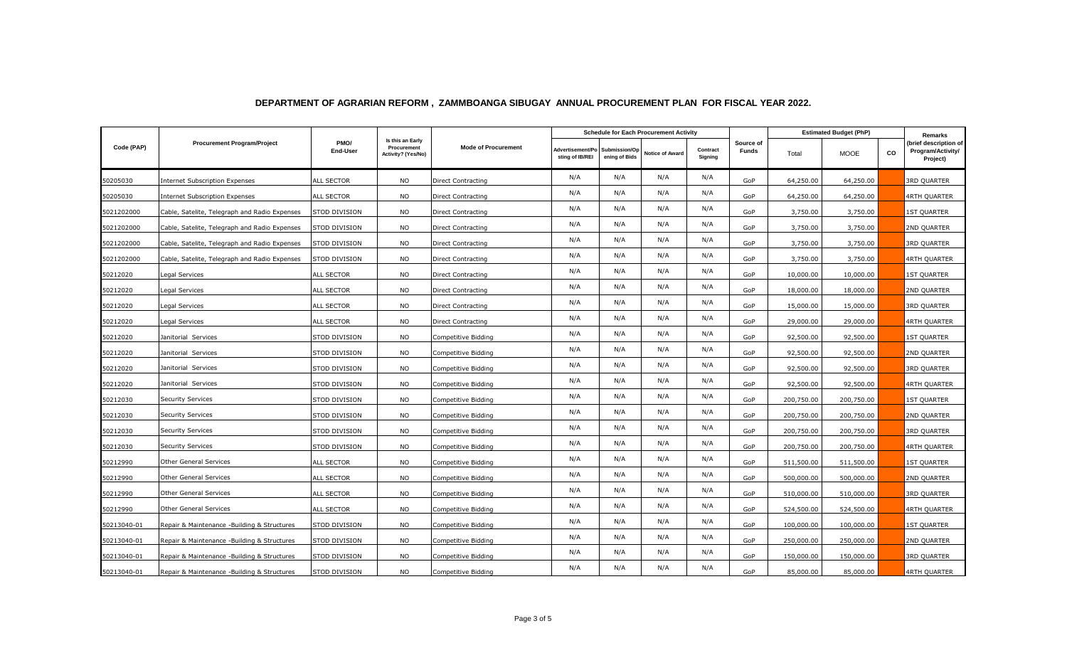|             | <b>Procurement Program/Project</b>            | PMO/<br>End-User  | Is this an Early<br>Procurement<br>Activity? (Yes/No) | <b>Mode of Procurement</b> | <b>Schedule for Each Procurement Activity</b> |                                |                        |                     |                           | <b>Estimated Budget (PhP)</b> |             |    | Remarks                                                |
|-------------|-----------------------------------------------|-------------------|-------------------------------------------------------|----------------------------|-----------------------------------------------|--------------------------------|------------------------|---------------------|---------------------------|-------------------------------|-------------|----|--------------------------------------------------------|
| Code (PAP)  |                                               |                   |                                                       |                            | Advertisement/Po<br>sting of IB/REI           | Submission/Op<br>ening of Bids | <b>Notice of Award</b> | Contract<br>Signing | Source of<br><b>Funds</b> | Total                         | <b>MOOE</b> | CO | (brief description of<br>Program/Activity/<br>Project) |
| 50205030    | <b>Internet Subscription Expenses</b>         | ALL SECTOR        | <b>NO</b>                                             | Direct Contracting         | N/A                                           | N/A                            | N/A                    | N/A                 | GoP                       | 64,250.00                     | 64,250.00   |    | <b>3RD QUARTER</b>                                     |
| 50205030    | <b>Internet Subscription Expenses</b>         | ALL SECTOR        | <b>NO</b>                                             | <b>Direct Contracting</b>  | N/A                                           | N/A                            | N/A                    | N/A                 | GoP                       | 64,250.00                     | 64,250.00   |    | 4RTH QUARTER                                           |
| 5021202000  | Cable, Satelite, Telegraph and Radio Expenses | STOD DIVISION     | <b>NO</b>                                             | Direct Contracting         | N/A                                           | N/A                            | N/A                    | N/A                 | GoP                       | 3,750.00                      | 3,750.00    |    | <b>1ST QUARTER</b>                                     |
| 5021202000  | Cable, Satelite, Telegraph and Radio Expenses | STOD DIVISION     | <b>NO</b>                                             | Direct Contracting         | N/A                                           | N/A                            | N/A                    | N/A                 | GoP                       | 3,750.00                      | 3,750.00    |    | 2ND QUARTER                                            |
| 5021202000  | Cable, Satelite, Telegraph and Radio Expenses | STOD DIVISION     | <b>NO</b>                                             | Direct Contracting         | N/A                                           | N/A                            | N/A                    | N/A                 | GoP                       | 3,750.00                      | 3,750.00    |    | 3RD QUARTER                                            |
| 5021202000  | Cable, Satelite, Telegraph and Radio Expenses | STOD DIVISION     | <b>NO</b>                                             | Direct Contracting         | N/A                                           | N/A                            | N/A                    | N/A                 | GoP                       | 3,750.00                      | 3,750.00    |    | 4RTH QUARTER                                           |
| 50212020    | Legal Services                                | ALL SECTOR        | <b>NO</b>                                             | Direct Contracting         | N/A                                           | N/A                            | N/A                    | N/A                 | GoP                       | 10,000.00                     | 10,000.00   |    | <b>1ST QUARTER</b>                                     |
| 50212020    | Legal Services                                | ALL SECTOR        | <b>NO</b>                                             | Direct Contracting         | N/A                                           | N/A                            | N/A                    | N/A                 | GoP                       | 18,000.00                     | 18,000.00   |    | 2ND QUARTER                                            |
| 50212020    | Legal Services                                | ALL SECTOR        | <b>NO</b>                                             | Direct Contracting         | N/A                                           | N/A                            | N/A                    | N/A                 | GoP                       | 15,000.00                     | 15,000.00   |    | <b>3RD QUARTER</b>                                     |
| 50212020    | Legal Services                                | ALL SECTOR        | <b>NO</b>                                             | Direct Contracting         | N/A                                           | N/A                            | N/A                    | N/A                 | GoP                       | 29,000.00                     | 29,000.00   |    | 4RTH QUARTER                                           |
| 50212020    | Janitorial Services                           | STOD DIVISION     | <b>NO</b>                                             | Competitive Bidding        | N/A                                           | N/A                            | N/A                    | N/A                 | GoP                       | 92,500.00                     | 92,500.00   |    | <b>1ST QUARTER</b>                                     |
| 50212020    | Janitorial Services                           | STOD DIVISION     | <b>NO</b>                                             | Competitive Bidding        | N/A                                           | N/A                            | N/A                    | N/A                 | GoP                       | 92,500.00                     | 92,500.00   |    | 2ND QUARTER                                            |
| 50212020    | Janitorial Services                           | STOD DIVISION     | <b>NO</b>                                             | Competitive Bidding        | N/A                                           | N/A                            | N/A                    | N/A                 | GoP                       | 92,500.00                     | 92,500.00   |    | <b>3RD QUARTER</b>                                     |
| 50212020    | Janitorial Services                           | STOD DIVISION     | <b>NO</b>                                             | Competitive Bidding        | N/A                                           | N/A                            | N/A                    | N/A                 | GoP                       | 92,500.00                     | 92,500.00   |    | <b>4RTH QUARTER</b>                                    |
| 50212030    | <b>Security Services</b>                      | STOD DIVISION     | <b>NO</b>                                             | Competitive Bidding        | N/A                                           | N/A                            | N/A                    | N/A                 | GoP                       | 200,750.00                    | 200,750.00  |    | <b>1ST QUARTER</b>                                     |
| 50212030    | <b>Security Services</b>                      | STOD DIVISION     | <b>NO</b>                                             | Competitive Bidding        | N/A                                           | N/A                            | N/A                    | N/A                 | GoP                       | 200,750.00                    | 200,750.00  |    | 2ND QUARTER                                            |
| 50212030    | Security Services                             | STOD DIVISION     | <b>NO</b>                                             | Competitive Bidding        | N/A                                           | N/A                            | N/A                    | N/A                 | GoP                       | 200,750.00                    | 200,750.00  |    | <b>3RD QUARTER</b>                                     |
| 50212030    | Security Services                             | STOD DIVISION     | <b>NO</b>                                             | Competitive Bidding        | N/A                                           | N/A                            | N/A                    | N/A                 | GoP                       | 200,750.00                    | 200,750.00  |    | 4RTH QUARTER                                           |
| 50212990    | <b>Other General Services</b>                 | <b>ALL SECTOR</b> | <b>NO</b>                                             | Competitive Bidding        | N/A                                           | N/A                            | N/A                    | N/A                 | GoP                       | 511,500.00                    | 511,500.00  |    | <b>1ST QUARTER</b>                                     |
| 50212990    | Other General Services                        | ALL SECTOR        | <b>NO</b>                                             | Competitive Bidding        | N/A                                           | N/A                            | N/A                    | N/A                 | GoP                       | 500,000.00                    | 500,000.00  |    | 2ND QUARTER                                            |
| 50212990    | Other General Services                        | ALL SECTOR        | <b>NO</b>                                             | Competitive Bidding        | N/A                                           | N/A                            | N/A                    | N/A                 | GoP                       | 510,000.00                    | 510,000.00  |    | <b>3RD QUARTER</b>                                     |
| 50212990    | Other General Services                        | ALL SECTOR        | <b>NO</b>                                             | Competitive Bidding        | N/A                                           | N/A                            | N/A                    | N/A                 | GoP                       | 524,500.00                    | 524,500.00  |    | 4RTH QUARTER                                           |
| 50213040-01 | Repair & Maintenance -Building & Structures   | STOD DIVISION     | <b>NO</b>                                             | Competitive Bidding        | N/A                                           | N/A                            | N/A                    | N/A                 | GoP                       | 100,000.00                    | 100,000.00  |    | 1ST QUARTER                                            |
| 50213040-01 | Repair & Maintenance -Building & Structures   | STOD DIVISION     | <b>NO</b>                                             | Competitive Bidding        | N/A                                           | N/A                            | N/A                    | N/A                 | GoP                       | 250,000.00                    | 250,000.00  |    | 2ND QUARTER                                            |
| 50213040-01 | Repair & Maintenance -Building & Structures   | STOD DIVISION     | <b>NO</b>                                             | Competitive Bidding        | N/A                                           | N/A                            | N/A                    | N/A                 | GoP                       | 150,000.00                    | 150,000.00  |    | 3RD QUARTER                                            |
| 50213040-01 | Repair & Maintenance -Building & Structures   | STOD DIVISION     | <b>NO</b>                                             | Competitive Bidding        | N/A                                           | N/A                            | N/A                    | N/A                 | GoP                       | 85,000.00                     | 85,000.00   |    | 4RTH QUARTER                                           |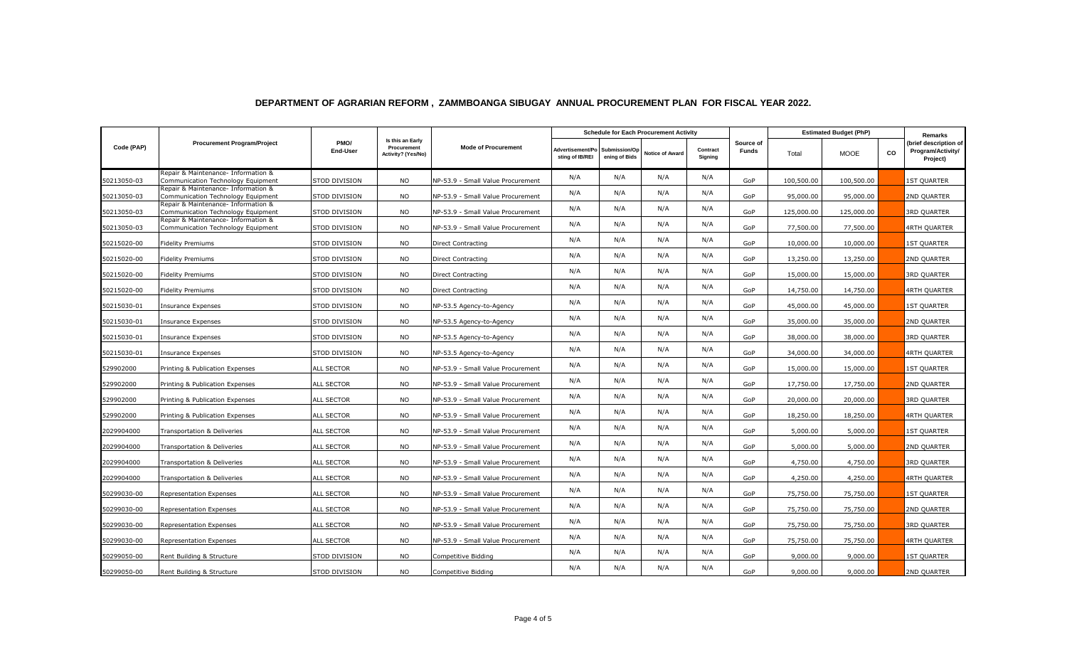|             | <b>Procurement Program/Project</b>                                        | PMO/<br>End-User  | Is this an Early<br>Procurement<br>Activity? (Yes/No) | <b>Mode of Procurement</b>        | <b>Schedule for Each Procurement Activity</b> |                                |                        |                     |                           | <b>Estimated Budget (PhP)</b> |             |           | Remarks                                                |
|-------------|---------------------------------------------------------------------------|-------------------|-------------------------------------------------------|-----------------------------------|-----------------------------------------------|--------------------------------|------------------------|---------------------|---------------------------|-------------------------------|-------------|-----------|--------------------------------------------------------|
| Code (PAP)  |                                                                           |                   |                                                       |                                   | Advertisement/Po<br>sting of IB/REI           | Submission/Op<br>ening of Bids | <b>Notice of Award</b> | Contract<br>Signing | Source of<br><b>Funds</b> | Total                         | <b>MOOE</b> | <b>CO</b> | (brief description of<br>Program/Activity/<br>Project) |
| 50213050-03 | Repair & Maintenance- Information &<br>Communication Technology Equipment | STOD DIVISION     | <b>NO</b>                                             | NP-53.9 - Small Value Procurement | N/A                                           | N/A                            | N/A                    | N/A                 | GoP                       | 100,500.00                    | 100,500.00  |           | <b>1ST QUARTER</b>                                     |
| 50213050-03 | Repair & Maintenance- Information &<br>Communication Technology Equipment | STOD DIVISION     | <b>NO</b>                                             | NP-53.9 - Small Value Procurement | N/A                                           | N/A                            | N/A                    | N/A                 | GoP                       | 95,000.00                     | 95,000.00   |           | 2ND QUARTER                                            |
| 50213050-03 | Repair & Maintenance- Information &<br>Communication Technology Equipment | STOD DIVISION     | <b>NO</b>                                             | NP-53.9 - Small Value Procurement | N/A                                           | N/A                            | N/A                    | N/A                 | GoP                       | 125,000.00                    | 125,000.00  |           | <b>3RD QUARTER</b>                                     |
| 50213050-03 | Repair & Maintenance- Information &<br>Communication Technology Equipment | STOD DIVISION     | <b>NO</b>                                             | NP-53.9 - Small Value Procurement | N/A                                           | N/A                            | N/A                    | N/A                 | GoP                       | 77,500.00                     | 77,500.00   |           | 4RTH QUARTER                                           |
| 50215020-00 | <b>Fidelity Premiums</b>                                                  | STOD DIVISION     | <b>NO</b>                                             | Direct Contracting                | N/A                                           | N/A                            | N/A                    | N/A                 | GoP                       | 10,000.00                     | 10,000.00   |           | <b>1ST QUARTER</b>                                     |
| 50215020-00 | <b>Fidelity Premiums</b>                                                  | STOD DIVISION     | <b>NO</b>                                             | Direct Contracting                | N/A                                           | N/A                            | N/A                    | N/A                 | GoP                       | 13,250.00                     | 13,250.00   |           | 2ND QUARTER                                            |
| 50215020-00 | <b>Fidelity Premiums</b>                                                  | STOD DIVISION     | <b>NO</b>                                             | Direct Contracting                | N/A                                           | N/A                            | N/A                    | N/A                 | GoP                       | 15,000.00                     | 15,000.00   |           | 3RD QUARTER                                            |
| 50215020-00 | <b>Fidelity Premiums</b>                                                  | STOD DIVISION     | <b>NO</b>                                             | Direct Contracting                | N/A                                           | N/A                            | N/A                    | N/A                 | GoP                       | 14,750.00                     | 14,750.00   |           | 4RTH QUARTER                                           |
| 50215030-01 | Insurance Expenses                                                        | STOD DIVISION     | <b>NO</b>                                             | NP-53.5 Agency-to-Agency          | N/A                                           | N/A                            | N/A                    | N/A                 | GoP                       | 45,000.00                     | 45,000.00   |           | <b>1ST QUARTER</b>                                     |
| 50215030-01 | <b>Insurance Expenses</b>                                                 | STOD DIVISION     | <b>NO</b>                                             | NP-53.5 Agency-to-Agency          | N/A                                           | N/A                            | N/A                    | N/A                 | GoP                       | 35,000.00                     | 35,000.00   |           | 2ND QUARTER                                            |
| 50215030-01 | Insurance Expenses                                                        | STOD DIVISION     | <b>NO</b>                                             | NP-53.5 Agency-to-Agency          | N/A                                           | N/A                            | N/A                    | N/A                 | GoP                       | 38,000.00                     | 38,000.00   |           | <b>3RD QUARTER</b>                                     |
| 50215030-01 | <b>Insurance Expenses</b>                                                 | STOD DIVISION     | <b>NO</b>                                             | NP-53.5 Agency-to-Agency          | N/A                                           | N/A                            | N/A                    | N/A                 | GoP                       | 34,000.00                     | 34,000.00   |           | <b>4RTH QUARTER</b>                                    |
| 529902000   | Printing & Publication Expenses                                           | <b>ALL SECTOR</b> | <b>NO</b>                                             | NP-53.9 - Small Value Procurement | N/A                                           | N/A                            | N/A                    | N/A                 | GoP                       | 15,000.00                     | 15,000.00   |           | <b>1ST QUARTER</b>                                     |
| 529902000   | Printing & Publication Expenses                                           | <b>ALL SECTOR</b> | <b>NO</b>                                             | NP-53.9 - Small Value Procurement | N/A                                           | N/A                            | N/A                    | N/A                 | GoP                       | 17,750.00                     | 17,750.00   |           | 2ND QUARTER                                            |
| 529902000   | Printing & Publication Expenses                                           | ALL SECTOR        | <b>NO</b>                                             | NP-53.9 - Small Value Procurement | N/A                                           | N/A                            | N/A                    | N/A                 | GoP                       | 20,000.00                     | 20,000.00   |           | <b>3RD QUARTER</b>                                     |
| 529902000   | Printing & Publication Expenses                                           | ALL SECTOR        | <b>NO</b>                                             | NP-53.9 - Small Value Procurement | N/A                                           | N/A                            | N/A                    | N/A                 | GoP                       | 18,250.00                     | 18,250.00   |           | 4RTH QUARTER                                           |
| 2029904000  | Transportation & Deliveries                                               | <b>ALL SECTOR</b> | <b>NO</b>                                             | NP-53.9 - Small Value Procurement | N/A                                           | N/A                            | N/A                    | N/A                 | GoP                       | 5,000.00                      | 5,000.00    |           | <b>1ST QUARTER</b>                                     |
| 2029904000  | Transportation & Deliveries                                               | ALL SECTOR        | <b>NO</b>                                             | NP-53.9 - Small Value Procurement | N/A                                           | N/A                            | N/A                    | N/A                 | GoP                       | 5,000.00                      | 5,000.00    |           | 2ND QUARTER                                            |
| 2029904000  | Transportation & Deliveries                                               | <b>ALL SECTOR</b> | NO.                                                   | NP-53.9 - Small Value Procurement | N/A                                           | N/A                            | N/A                    | N/A                 | GoP                       | 4,750.00                      | 4,750.00    |           | <b>3RD QUARTER</b>                                     |
| 2029904000  | Transportation & Deliveries                                               | ALL SECTOR        | <b>NO</b>                                             | NP-53.9 - Small Value Procurement | N/A                                           | N/A                            | N/A                    | N/A                 | GoP                       | 4,250.00                      | 4,250.00    |           | 4RTH QUARTER                                           |
| 50299030-00 | <b>Representation Expenses</b>                                            | ALL SECTOR        | <b>NO</b>                                             | NP-53.9 - Small Value Procurement | N/A                                           | N/A                            | N/A                    | N/A                 | GoP                       | 75,750.00                     | 75,750.00   |           | <b>1ST QUARTER</b>                                     |
| 50299030-00 | Representation Expenses                                                   | ALL SECTOR        | <b>NO</b>                                             | NP-53.9 - Small Value Procurement | N/A                                           | N/A                            | N/A                    | N/A                 | GoP                       | 75,750.00                     | 75,750.00   |           | 2ND QUARTER                                            |
| 50299030-00 | <b>Representation Expenses</b>                                            | ALL SECTOR        | <b>NO</b>                                             | NP-53.9 - Small Value Procurement | N/A                                           | N/A                            | N/A                    | N/A                 | GoP                       | 75,750.00                     | 75,750.00   |           | 3RD QUARTER                                            |
| 50299030-00 | <b>Representation Expenses</b>                                            | ALL SECTOR        | <b>NO</b>                                             | NP-53.9 - Small Value Procurement | N/A                                           | N/A                            | N/A                    | N/A                 | GoP                       | 75,750.00                     | 75,750.00   |           | <b>4RTH QUARTER</b>                                    |
| 50299050-00 | Rent Building & Structure                                                 | STOD DIVISION     | <b>NO</b>                                             | Competitive Bidding               | N/A                                           | N/A                            | N/A                    | N/A                 | GoP                       | 9,000.00                      | 9,000.00    |           | 1ST QUARTER                                            |
| 50299050-00 | Rent Building & Structure                                                 | STOD DIVISION     | NO.                                                   | Competitive Bidding               | N/A                                           | N/A                            | N/A                    | N/A                 | GoP                       | 9,000.00                      | 9,000.00    |           | 2ND QUARTER                                            |